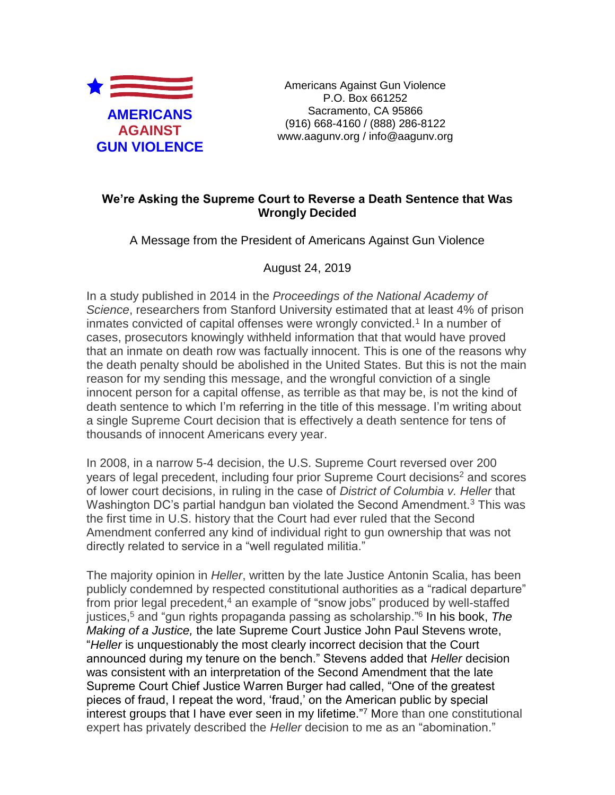

Americans Against Gun Violence P.O. Box 661252 Sacramento, CA 95866 (916) 668-4160 / (888) 286-8122 www.aagunv.org / info@aagunv.org

## **We're Asking the Supreme Court to Reverse a Death Sentence that Was Wrongly Decided**

A Message from the President of Americans Against Gun Violence

August 24, 2019

In a study published in 2014 in the *Proceedings of the National Academy of Science*, researchers from Stanford University estimated that at least 4% of prison inmates convicted of capital offenses were wrongly convicted.<sup>1</sup> In a number of cases, prosecutors knowingly withheld information that that would have proved that an inmate on death row was factually innocent. This is one of the reasons why the death penalty should be abolished in the United States. But this is not the main reason for my sending this message, and the wrongful conviction of a single innocent person for a capital offense, as terrible as that may be, is not the kind of death sentence to which I'm referring in the title of this message. I'm writing about a single Supreme Court decision that is effectively a death sentence for tens of thousands of innocent Americans every year.

In 2008, in a narrow 5-4 decision, the U.S. Supreme Court reversed over 200 years of legal precedent, including four prior Supreme Court decisions<sup>2</sup> and scores of lower court decisions, in ruling in the case of *District of Columbia v. Heller* that Washington DC's partial handgun ban violated the Second Amendment.<sup>3</sup> This was the first time in U.S. history that the Court had ever ruled that the Second Amendment conferred any kind of individual right to gun ownership that was not directly related to service in a "well regulated militia."

The majority opinion in *Heller*, written by the late Justice Antonin Scalia, has been publicly condemned by respected constitutional authorities as a "radical departure" from prior legal precedent,<sup>4</sup> an example of "snow jobs" produced by well-staffed justices,<sup>5</sup> and "gun rights propaganda passing as scholarship." 6 In his book, *The Making of a Justice,* the late Supreme Court Justice John Paul Stevens wrote, "*Heller* is unquestionably the most clearly incorrect decision that the Court announced during my tenure on the bench." Stevens added that *Heller* decision was consistent with an interpretation of the Second Amendment that the late Supreme Court Chief Justice Warren Burger had called, "One of the greatest pieces of fraud, I repeat the word, 'fraud,' on the American public by special interest groups that I have ever seen in my lifetime."<sup>7</sup> More than one constitutional expert has privately described the *Heller* decision to me as an "abomination."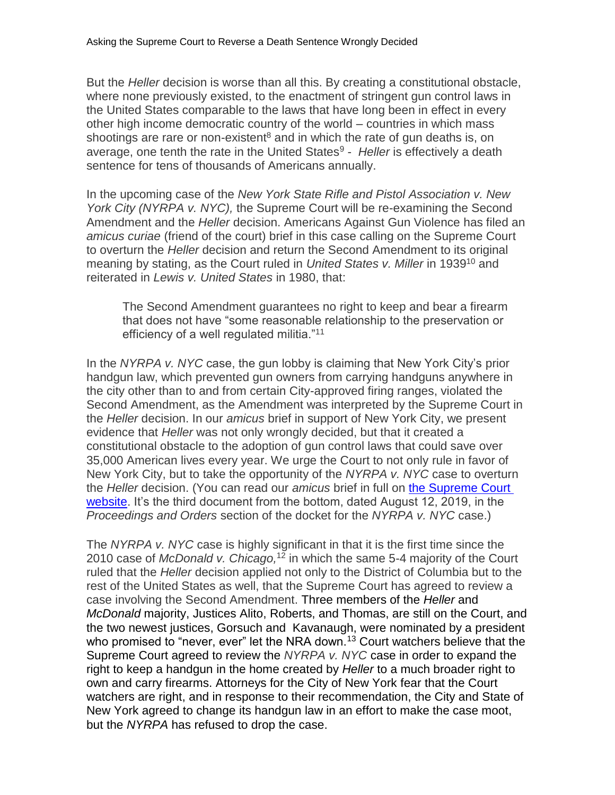But the *Heller* decision is worse than all this. By creating a constitutional obstacle, where none previously existed, to the enactment of stringent gun control laws in the United States comparable to the laws that have long been in effect in every other high income democratic country of the world – countries in which mass shootings are rare or non-existent<sup>8</sup> and in which the rate of gun deaths is, on average, one tenth the rate in the United States<sup>9</sup> - Heller is effectively a death sentence for tens of thousands of Americans annually.

In the upcoming case of the *New York State Rifle and Pistol Association v. New York City (NYRPA v. NYC),* the Supreme Court will be re-examining the Second Amendment and the *Heller* decision. Americans Against Gun Violence has filed an *amicus curiae* (friend of the court) brief in this case calling on the Supreme Court to overturn the *Heller* decision and return the Second Amendment to its original meaning by stating, as the Court ruled in *United States v. Miller* in 1939<sup>10</sup> and reiterated in *Lewis v. United States* in 1980, that:

The Second Amendment guarantees no right to keep and bear a firearm that does not have "some reasonable relationship to the preservation or efficiency of a well regulated militia."<sup>11</sup>

In the *NYRPA v. NYC* case, the gun lobby is claiming that New York City's prior handgun law, which prevented gun owners from carrying handguns anywhere in the city other than to and from certain City-approved firing ranges, violated the Second Amendment, as the Amendment was interpreted by the Supreme Court in the *Heller* decision. In our *amicus* brief in support of New York City, we present evidence that *Heller* was not only wrongly decided, but that it created a constitutional obstacle to the adoption of gun control laws that could save over 35,000 American lives every year. We urge the Court to not only rule in favor of New York City, but to take the opportunity of the *NYRPA v. NYC* case to overturn the *Heller* decision. (You can read our *amicus* brief in full on [the Supreme Court](https://www.supremecourt.gov/search.aspx?filename=/docket/docketfiles/html/public/18-280.html)  [website.](https://www.supremecourt.gov/search.aspx?filename=/docket/docketfiles/html/public/18-280.html) It's the third document from the bottom, dated August 12, 2019, in the *Proceedings and Orders* section of the docket for the *NYRPA v. NYC* case.)

The *NYRPA v. NYC* case is highly significant in that it is the first time since the 2010 case of *McDonald v. Chicago,*<sup>12</sup> in which the same 5-4 majority of the Court ruled that the *Heller* decision applied not only to the District of Columbia but to the rest of the United States as well, that the Supreme Court has agreed to review a case involving the Second Amendment. Three members of the *Heller* and *McDonald* majority, Justices Alito, Roberts, and Thomas, are still on the Court, and the two newest justices, Gorsuch and Kavanaugh, were nominated by a president who promised to "never, ever" let the NRA down.<sup>13</sup> Court watchers believe that the Supreme Court agreed to review the *NYRPA v. NYC* case in order to expand the right to keep a handgun in the home created by *Heller* to a much broader right to own and carry firearms. Attorneys for the City of New York fear that the Court watchers are right, and in response to their recommendation, the City and State of New York agreed to change its handgun law in an effort to make the case moot, but the *NYRPA* has refused to drop the case.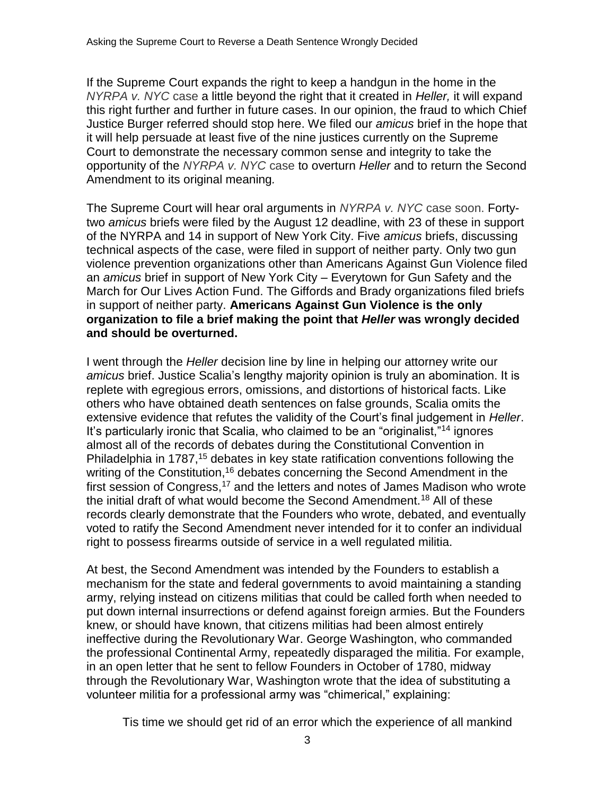If the Supreme Court expands the right to keep a handgun in the home in the *NYRPA v. NYC* case a little beyond the right that it created in *Heller,* it will expand this right further and further in future cases. In our opinion, the fraud to which Chief Justice Burger referred should stop here. We filed our *amicus* brief in the hope that it will help persuade at least five of the nine justices currently on the Supreme Court to demonstrate the necessary common sense and integrity to take the opportunity of the *NYRPA v. NYC* case to overturn *Heller* and to return the Second Amendment to its original meaning*.*

The Supreme Court will hear oral arguments in *NYRPA v. NYC* case soon. Fortytwo *amicus* briefs were filed by the August 12 deadline, with 23 of these in support of the NYRPA and 14 in support of New York City. Five *amicus* briefs, discussing technical aspects of the case, were filed in support of neither party. Only two gun violence prevention organizations other than Americans Against Gun Violence filed an *amicus* brief in support of New York City – Everytown for Gun Safety and the March for Our Lives Action Fund. The Giffords and Brady organizations filed briefs in support of neither party. **Americans Against Gun Violence is the only organization to file a brief making the point that** *Heller* **was wrongly decided and should be overturned.** 

I went through the *Heller* decision line by line in helping our attorney write our *amicus* brief. Justice Scalia's lengthy majority opinion is truly an abomination. It is replete with egregious errors, omissions, and distortions of historical facts. Like others who have obtained death sentences on false grounds, Scalia omits the extensive evidence that refutes the validity of the Court's final judgement in *Heller*. It's particularly ironic that Scalia, who claimed to be an "originalist,"<sup>14</sup> ignores almost all of the records of debates during the Constitutional Convention in Philadelphia in 1787,<sup>15</sup> debates in key state ratification conventions following the writing of the Constitution,<sup>16</sup> debates concerning the Second Amendment in the first session of Congress,<sup>17</sup> and the letters and notes of James Madison who wrote the initial draft of what would become the Second Amendment.<sup>18</sup> All of these records clearly demonstrate that the Founders who wrote, debated, and eventually voted to ratify the Second Amendment never intended for it to confer an individual right to possess firearms outside of service in a well regulated militia.

At best, the Second Amendment was intended by the Founders to establish a mechanism for the state and federal governments to avoid maintaining a standing army, relying instead on citizens militias that could be called forth when needed to put down internal insurrections or defend against foreign armies. But the Founders knew, or should have known, that citizens militias had been almost entirely ineffective during the Revolutionary War. George Washington, who commanded the professional Continental Army, repeatedly disparaged the militia. For example, in an open letter that he sent to fellow Founders in October of 1780, midway through the Revolutionary War, Washington wrote that the idea of substituting a volunteer militia for a professional army was "chimerical," explaining:

Tis time we should get rid of an error which the experience of all mankind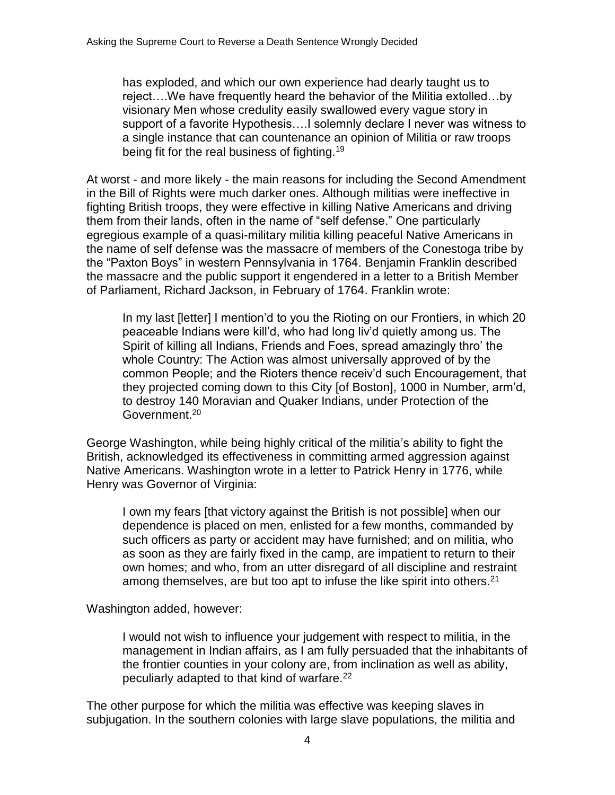has exploded, and which our own experience had dearly taught us to reject….We have frequently heard the behavior of the Militia extolled…by visionary Men whose credulity easily swallowed every vague story in support of a favorite Hypothesis….I solemnly declare I never was witness to a single instance that can countenance an opinion of Militia or raw troops being fit for the real business of fighting.<sup>19</sup>

At worst - and more likely - the main reasons for including the Second Amendment in the Bill of Rights were much darker ones. Although militias were ineffective in fighting British troops, they were effective in killing Native Americans and driving them from their lands, often in the name of "self defense." One particularly egregious example of a quasi-military militia killing peaceful Native Americans in the name of self defense was the massacre of members of the Conestoga tribe by the "Paxton Boys" in western Pennsylvania in 1764. Benjamin Franklin described the massacre and the public support it engendered in a letter to a British Member of Parliament, Richard Jackson, in February of 1764. Franklin wrote:

In my last [letter] I mention'd to you the Rioting on our Frontiers, in which 20 peaceable Indians were kill'd, who had long liv'd quietly among us. The Spirit of killing all Indians, Friends and Foes, spread amazingly thro' the whole Country: The Action was almost universally approved of by the common People; and the Rioters thence receiv'd such Encouragement, that they projected coming down to this City [of Boston], 1000 in Number, arm'd, to destroy 140 Moravian and Quaker Indians, under Protection of the Government.<sup>20</sup>

George Washington, while being highly critical of the militia's ability to fight the British, acknowledged its effectiveness in committing armed aggression against Native Americans. Washington wrote in a letter to Patrick Henry in 1776, while Henry was Governor of Virginia:

I own my fears [that victory against the British is not possible] when our dependence is placed on men, enlisted for a few months, commanded by such officers as party or accident may have furnished; and on militia, who as soon as they are fairly fixed in the camp, are impatient to return to their own homes; and who, from an utter disregard of all discipline and restraint among themselves, are but too apt to infuse the like spirit into others.<sup>21</sup>

Washington added, however:

I would not wish to influence your judgement with respect to militia, in the management in Indian affairs, as I am fully persuaded that the inhabitants of the frontier counties in your colony are, from inclination as well as ability, peculiarly adapted to that kind of warfare.<sup>22</sup>

The other purpose for which the militia was effective was keeping slaves in subjugation. In the southern colonies with large slave populations, the militia and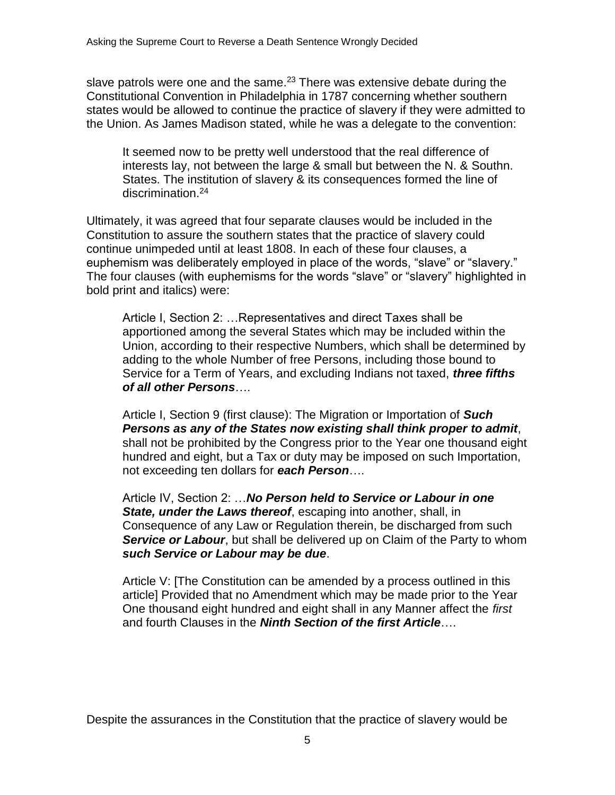slave patrols were one and the same. $23$  There was extensive debate during the Constitutional Convention in Philadelphia in 1787 concerning whether southern states would be allowed to continue the practice of slavery if they were admitted to the Union. As James Madison stated, while he was a delegate to the convention:

It seemed now to be pretty well understood that the real difference of interests lay, not between the large & small but between the N. & Southn. States. The institution of slavery & its consequences formed the line of discrimination.<sup>24</sup>

Ultimately, it was agreed that four separate clauses would be included in the Constitution to assure the southern states that the practice of slavery could continue unimpeded until at least 1808. In each of these four clauses, a euphemism was deliberately employed in place of the words, "slave" or "slavery." The four clauses (with euphemisms for the words "slave" or "slavery" highlighted in bold print and italics) were:

Article I, Section 2: …Representatives and direct Taxes shall be apportioned among the several States which may be included within the Union, according to their respective Numbers, which shall be determined by adding to the whole Number of free Persons, including those bound to Service for a Term of Years, and excluding Indians not taxed, *three fifths of all other Persons*….

Article I, Section 9 (first clause): The Migration or Importation of *Such Persons as any of the States now existing shall think proper to admit*, shall not be prohibited by the Congress prior to the Year one thousand eight hundred and eight, but a Tax or duty may be imposed on such Importation, not exceeding ten dollars for *each Person*….

Article IV, Section 2: …*No Person held to Service or Labour in one State, under the Laws thereof*, escaping into another, shall, in Consequence of any Law or Regulation therein, be discharged from such **Service or Labour**, but shall be delivered up on Claim of the Party to whom *such Service or Labour may be due*.

Article V: [The Constitution can be amended by a process outlined in this article] Provided that no Amendment which may be made prior to the Year One thousand eight hundred and eight shall in any Manner affect the *first* and fourth Clauses in the *Ninth Section of the first Article*….

Despite the assurances in the Constitution that the practice of slavery would be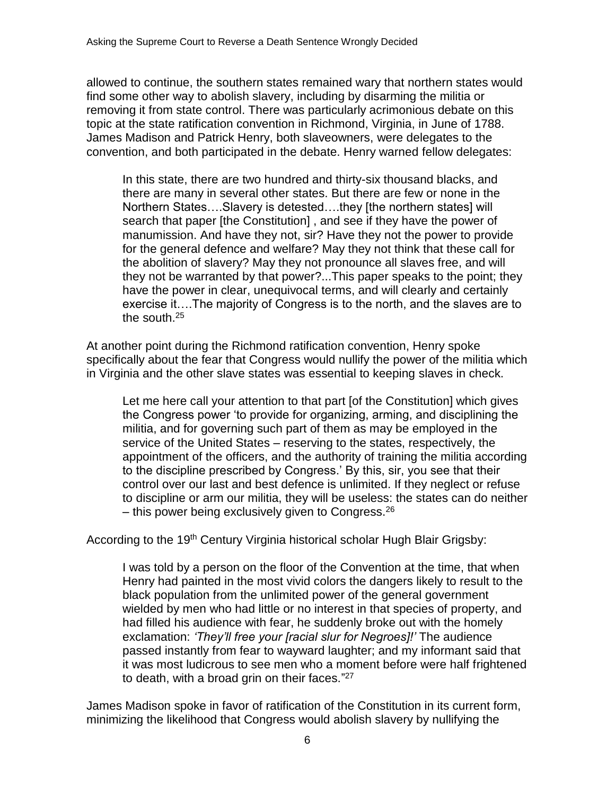allowed to continue, the southern states remained wary that northern states would find some other way to abolish slavery, including by disarming the militia or removing it from state control. There was particularly acrimonious debate on this topic at the state ratification convention in Richmond, Virginia, in June of 1788. James Madison and Patrick Henry, both slaveowners, were delegates to the convention, and both participated in the debate. Henry warned fellow delegates:

In this state, there are two hundred and thirty-six thousand blacks, and there are many in several other states. But there are few or none in the Northern States….Slavery is detested….they [the northern states] will search that paper [the Constitution] , and see if they have the power of manumission. And have they not, sir? Have they not the power to provide for the general defence and welfare? May they not think that these call for the abolition of slavery? May they not pronounce all slaves free, and will they not be warranted by that power?...This paper speaks to the point; they have the power in clear, unequivocal terms, and will clearly and certainly exercise it….The majority of Congress is to the north, and the slaves are to the south.<sup>25</sup>

At another point during the Richmond ratification convention, Henry spoke specifically about the fear that Congress would nullify the power of the militia which in Virginia and the other slave states was essential to keeping slaves in check.

Let me here call your attention to that part [of the Constitution] which gives the Congress power 'to provide for organizing, arming, and disciplining the militia, and for governing such part of them as may be employed in the service of the United States – reserving to the states, respectively, the appointment of the officers, and the authority of training the militia according to the discipline prescribed by Congress.' By this, sir, you see that their control over our last and best defence is unlimited. If they neglect or refuse to discipline or arm our militia, they will be useless: the states can do neither – this power being exclusively given to Congress.  $26$ 

According to the 19<sup>th</sup> Century Virginia historical scholar Hugh Blair Grigsby:

I was told by a person on the floor of the Convention at the time, that when Henry had painted in the most vivid colors the dangers likely to result to the black population from the unlimited power of the general government wielded by men who had little or no interest in that species of property, and had filled his audience with fear, he suddenly broke out with the homely exclamation: *'They'll free your [racial slur for Negroes]!'* The audience passed instantly from fear to wayward laughter; and my informant said that it was most ludicrous to see men who a moment before were half frightened to death, with a broad grin on their faces."<sup>27</sup>

James Madison spoke in favor of ratification of the Constitution in its current form, minimizing the likelihood that Congress would abolish slavery by nullifying the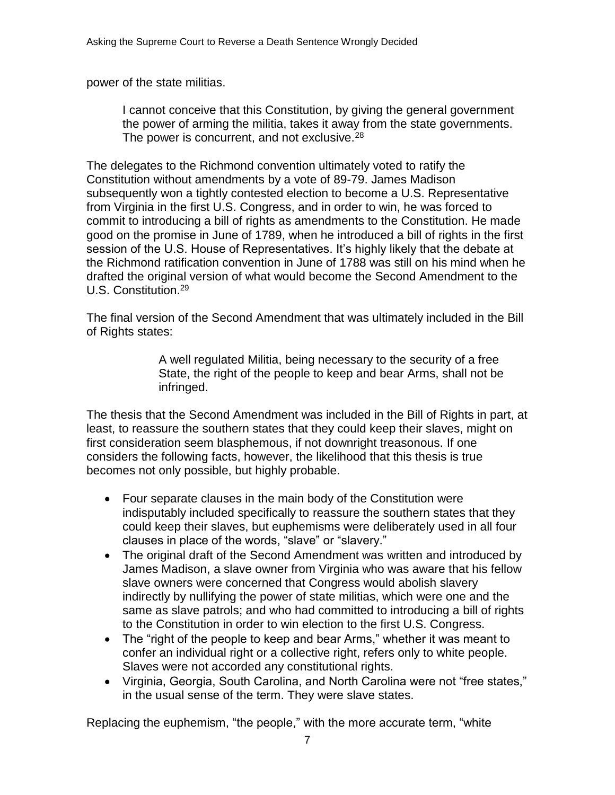power of the state militias.

I cannot conceive that this Constitution, by giving the general government the power of arming the militia, takes it away from the state governments. The power is concurrent, and not exclusive.<sup>28</sup>

The delegates to the Richmond convention ultimately voted to ratify the Constitution without amendments by a vote of 89-79. James Madison subsequently won a tightly contested election to become a U.S. Representative from Virginia in the first U.S. Congress, and in order to win, he was forced to commit to introducing a bill of rights as amendments to the Constitution. He made good on the promise in June of 1789, when he introduced a bill of rights in the first session of the U.S. House of Representatives. It's highly likely that the debate at the Richmond ratification convention in June of 1788 was still on his mind when he drafted the original version of what would become the Second Amendment to the U.S. Constitution.<sup>29</sup>

The final version of the Second Amendment that was ultimately included in the Bill of Rights states:

> A well regulated Militia, being necessary to the security of a free State, the right of the people to keep and bear Arms, shall not be infringed.

The thesis that the Second Amendment was included in the Bill of Rights in part, at least, to reassure the southern states that they could keep their slaves, might on first consideration seem blasphemous, if not downright treasonous. If one considers the following facts, however, the likelihood that this thesis is true becomes not only possible, but highly probable.

- Four separate clauses in the main body of the Constitution were indisputably included specifically to reassure the southern states that they could keep their slaves, but euphemisms were deliberately used in all four clauses in place of the words, "slave" or "slavery."
- The original draft of the Second Amendment was written and introduced by James Madison, a slave owner from Virginia who was aware that his fellow slave owners were concerned that Congress would abolish slavery indirectly by nullifying the power of state militias, which were one and the same as slave patrols; and who had committed to introducing a bill of rights to the Constitution in order to win election to the first U.S. Congress.
- The "right of the people to keep and bear Arms," whether it was meant to confer an individual right or a collective right, refers only to white people. Slaves were not accorded any constitutional rights.
- Virginia, Georgia, South Carolina, and North Carolina were not "free states," in the usual sense of the term. They were slave states.

Replacing the euphemism, "the people," with the more accurate term, "white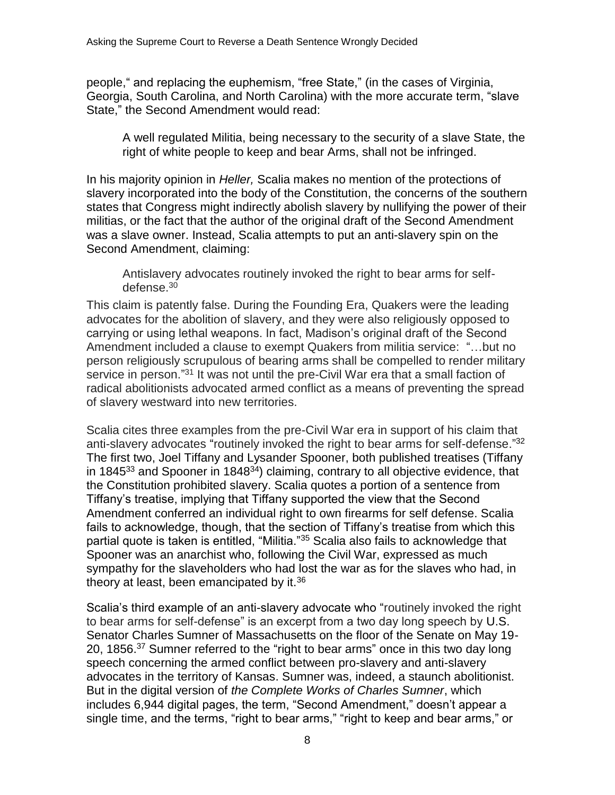people," and replacing the euphemism, "free State," (in the cases of Virginia, Georgia, South Carolina, and North Carolina) with the more accurate term, "slave State," the Second Amendment would read:

A well regulated Militia, being necessary to the security of a slave State, the right of white people to keep and bear Arms, shall not be infringed.

In his majority opinion in *Heller,* Scalia makes no mention of the protections of slavery incorporated into the body of the Constitution, the concerns of the southern states that Congress might indirectly abolish slavery by nullifying the power of their militias, or the fact that the author of the original draft of the Second Amendment was a slave owner. Instead, Scalia attempts to put an anti-slavery spin on the Second Amendment, claiming:

Antislavery advocates routinely invoked the right to bear arms for selfdefense.<sup>30</sup>

This claim is patently false. During the Founding Era, Quakers were the leading advocates for the abolition of slavery, and they were also religiously opposed to carrying or using lethal weapons. In fact, Madison's original draft of the Second Amendment included a clause to exempt Quakers from militia service: "…but no person religiously scrupulous of bearing arms shall be compelled to render military service in person."<sup>31</sup> It was not until the pre-Civil War era that a small faction of radical abolitionists advocated armed conflict as a means of preventing the spread of slavery westward into new territories.

Scalia cites three examples from the pre-Civil War era in support of his claim that anti-slavery advocates "routinely invoked the right to bear arms for self-defense."<sup>32</sup> The first two, Joel Tiffany and Lysander Spooner, both published treatises (Tiffany in 1845 $33$  and Spooner in 1848 $34$ ) claiming, contrary to all objective evidence, that the Constitution prohibited slavery. Scalia quotes a portion of a sentence from Tiffany's treatise, implying that Tiffany supported the view that the Second Amendment conferred an individual right to own firearms for self defense. Scalia fails to acknowledge, though, that the section of Tiffany's treatise from which this partial quote is taken is entitled, "Militia."<sup>35</sup> Scalia also fails to acknowledge that Spooner was an anarchist who, following the Civil War, expressed as much sympathy for the slaveholders who had lost the war as for the slaves who had, in theory at least, been emancipated by it.<sup>36</sup>

Scalia's third example of an anti-slavery advocate who "routinely invoked the right to bear arms for self-defense" is an excerpt from a two day long speech by U.S. Senator Charles Sumner of Massachusetts on the floor of the Senate on May 19- 20, 1856.<sup>37</sup> Sumner referred to the "right to bear arms" once in this two day long speech concerning the armed conflict between pro-slavery and anti-slavery advocates in the territory of Kansas. Sumner was, indeed, a staunch abolitionist. But in the digital version of *the Complete Works of Charles Sumner*, which includes 6,944 digital pages, the term, "Second Amendment," doesn't appear a single time, and the terms, "right to bear arms," "right to keep and bear arms," or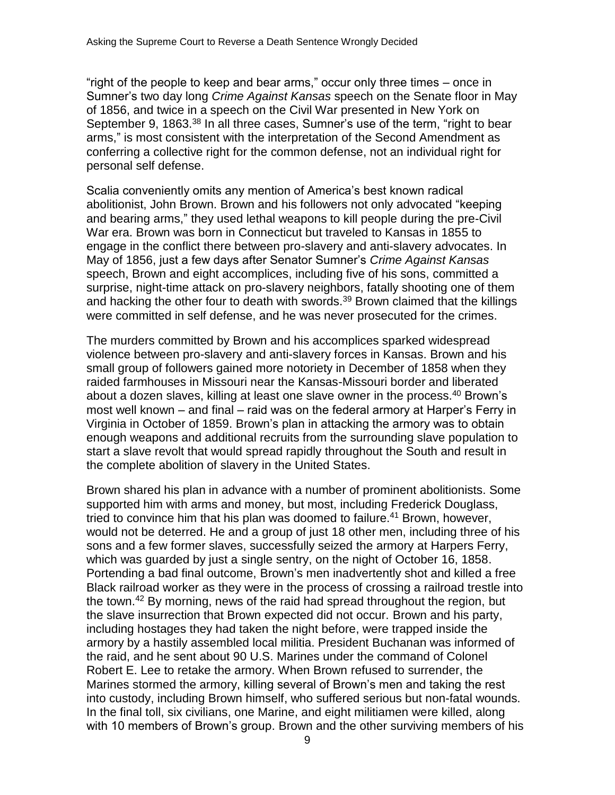"right of the people to keep and bear arms," occur only three times – once in Sumner's two day long *Crime Against Kansas* speech on the Senate floor in May of 1856, and twice in a speech on the Civil War presented in New York on September 9, 1863.<sup>38</sup> In all three cases, Sumner's use of the term, "right to bear arms," is most consistent with the interpretation of the Second Amendment as conferring a collective right for the common defense, not an individual right for personal self defense.

Scalia conveniently omits any mention of America's best known radical abolitionist, John Brown. Brown and his followers not only advocated "keeping and bearing arms," they used lethal weapons to kill people during the pre-Civil War era. Brown was born in Connecticut but traveled to Kansas in 1855 to engage in the conflict there between pro-slavery and anti-slavery advocates. In May of 1856, just a few days after Senator Sumner's *Crime Against Kansas*  speech, Brown and eight accomplices, including five of his sons, committed a surprise, night-time attack on pro-slavery neighbors, fatally shooting one of them and hacking the other four to death with swords.<sup>39</sup> Brown claimed that the killings were committed in self defense, and he was never prosecuted for the crimes.

The murders committed by Brown and his accomplices sparked widespread violence between pro-slavery and anti-slavery forces in Kansas. Brown and his small group of followers gained more notoriety in December of 1858 when they raided farmhouses in Missouri near the Kansas-Missouri border and liberated about a dozen slaves, killing at least one slave owner in the process.<sup>40</sup> Brown's most well known – and final – raid was on the federal armory at Harper's Ferry in Virginia in October of 1859. Brown's plan in attacking the armory was to obtain enough weapons and additional recruits from the surrounding slave population to start a slave revolt that would spread rapidly throughout the South and result in the complete abolition of slavery in the United States.

Brown shared his plan in advance with a number of prominent abolitionists. Some supported him with arms and money, but most, including Frederick Douglass, tried to convince him that his plan was doomed to failure. <sup>41</sup> Brown, however, would not be deterred. He and a group of just 18 other men, including three of his sons and a few former slaves, successfully seized the armory at Harpers Ferry, which was guarded by just a single sentry, on the night of October 16, 1858. Portending a bad final outcome, Brown's men inadvertently shot and killed a free Black railroad worker as they were in the process of crossing a railroad trestle into the town. <sup>42</sup> By morning, news of the raid had spread throughout the region, but the slave insurrection that Brown expected did not occur. Brown and his party, including hostages they had taken the night before, were trapped inside the armory by a hastily assembled local militia. President Buchanan was informed of the raid, and he sent about 90 U.S. Marines under the command of Colonel Robert E. Lee to retake the armory. When Brown refused to surrender, the Marines stormed the armory, killing several of Brown's men and taking the rest into custody, including Brown himself, who suffered serious but non-fatal wounds. In the final toll, six civilians, one Marine, and eight militiamen were killed, along with 10 members of Brown's group. Brown and the other surviving members of his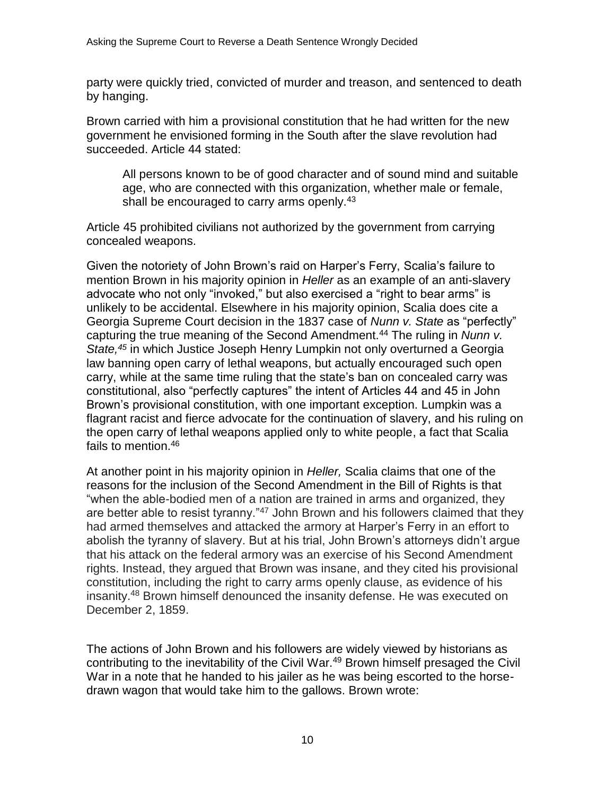party were quickly tried, convicted of murder and treason, and sentenced to death by hanging.

Brown carried with him a provisional constitution that he had written for the new government he envisioned forming in the South after the slave revolution had succeeded. Article 44 stated:

All persons known to be of good character and of sound mind and suitable age, who are connected with this organization, whether male or female, shall be encouraged to carry arms openly.<sup>43</sup>

Article 45 prohibited civilians not authorized by the government from carrying concealed weapons.

Given the notoriety of John Brown's raid on Harper's Ferry, Scalia's failure to mention Brown in his majority opinion in *Heller* as an example of an anti-slavery advocate who not only "invoked," but also exercised a "right to bear arms" is unlikely to be accidental. Elsewhere in his majority opinion, Scalia does cite a Georgia Supreme Court decision in the 1837 case of *Nunn v. State* as "perfectly" capturing the true meaning of the Second Amendment.<sup>44</sup> The ruling in *Nunn v. State,<sup>45</sup>* in which Justice Joseph Henry Lumpkin not only overturned a Georgia law banning open carry of lethal weapons, but actually encouraged such open carry, while at the same time ruling that the state's ban on concealed carry was constitutional, also "perfectly captures" the intent of Articles 44 and 45 in John Brown's provisional constitution, with one important exception. Lumpkin was a flagrant racist and fierce advocate for the continuation of slavery, and his ruling on the open carry of lethal weapons applied only to white people, a fact that Scalia fails to mention. 46

At another point in his majority opinion in *Heller,* Scalia claims that one of the reasons for the inclusion of the Second Amendment in the Bill of Rights is that "when the able-bodied men of a nation are trained in arms and organized, they are better able to resist tyranny."<sup>47</sup> John Brown and his followers claimed that they had armed themselves and attacked the armory at Harper's Ferry in an effort to abolish the tyranny of slavery. But at his trial, John Brown's attorneys didn't argue that his attack on the federal armory was an exercise of his Second Amendment rights. Instead, they argued that Brown was insane, and they cited his provisional constitution, including the right to carry arms openly clause, as evidence of his insanity.<sup>48</sup> Brown himself denounced the insanity defense. He was executed on December 2, 1859.

The actions of John Brown and his followers are widely viewed by historians as contributing to the inevitability of the Civil War.<sup>49</sup> Brown himself presaged the Civil War in a note that he handed to his jailer as he was being escorted to the horsedrawn wagon that would take him to the gallows. Brown wrote: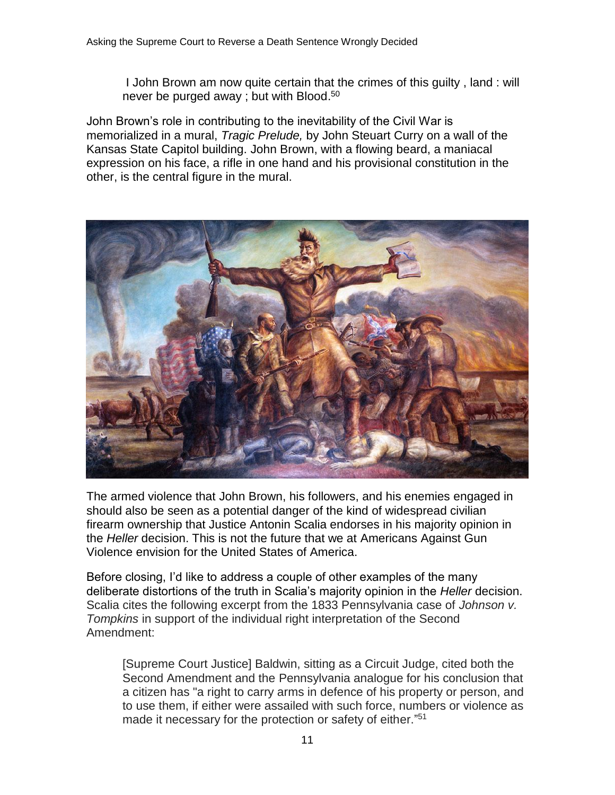I John Brown am now quite certain that the crimes of this guilty , land : will never be purged away ; but with Blood.<sup>50</sup>

John Brown's role in contributing to the inevitability of the Civil War is memorialized in a mural, *Tragic Prelude,* by John Steuart Curry on a wall of the Kansas State Capitol building. John Brown, with a flowing beard, a maniacal expression on his face, a rifle in one hand and his provisional constitution in the other, is the central figure in the mural.



The armed violence that John Brown, his followers, and his enemies engaged in should also be seen as a potential danger of the kind of widespread civilian firearm ownership that Justice Antonin Scalia endorses in his majority opinion in the *Heller* decision. This is not the future that we at Americans Against Gun Violence envision for the United States of America.

Before closing, I'd like to address a couple of other examples of the many deliberate distortions of the truth in Scalia's majority opinion in the *Heller* decision. Scalia cites the following excerpt from the 1833 Pennsylvania case of *Johnson v. Tompkins* in support of the individual right interpretation of the Second Amendment:

[Supreme Court Justice] Baldwin, sitting as a Circuit Judge, cited both the Second Amendment and the Pennsylvania analogue for his conclusion that a citizen has "a right to carry arms in defence of his property or person, and to use them, if either were assailed with such force, numbers or violence as made it necessary for the protection or safety of either."<sup>51</sup>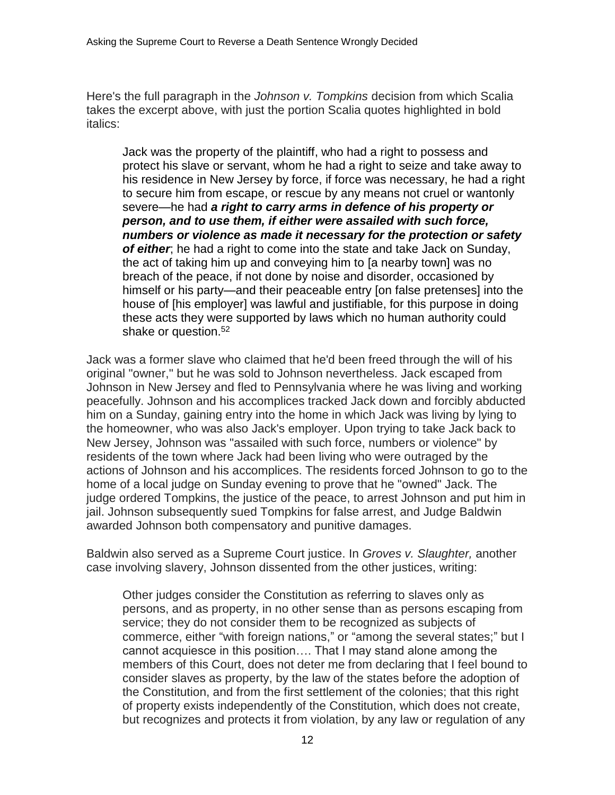Here's the full paragraph in the *Johnson v. Tompkins* decision from which Scalia takes the excerpt above, with just the portion Scalia quotes highlighted in bold italics:

Jack was the property of the plaintiff, who had a right to possess and protect his slave or servant, whom he had a right to seize and take away to his residence in New Jersey by force, if force was necessary, he had a right to secure him from escape, or rescue by any means not cruel or wantonly severe—he had *a right to carry arms in defence of his property or person, and to use them, if either were assailed with such force, numbers or violence as made it necessary for the protection or safety of either*; he had a right to come into the state and take Jack on Sunday, the act of taking him up and conveying him to [a nearby town] was no breach of the peace, if not done by noise and disorder, occasioned by himself or his party—and their peaceable entry [on false pretenses] into the house of [his employer] was lawful and justifiable, for this purpose in doing these acts they were supported by laws which no human authority could shake or question.<sup>52</sup>

Jack was a former slave who claimed that he'd been freed through the will of his original "owner," but he was sold to Johnson nevertheless. Jack escaped from Johnson in New Jersey and fled to Pennsylvania where he was living and working peacefully. Johnson and his accomplices tracked Jack down and forcibly abducted him on a Sunday, gaining entry into the home in which Jack was living by lying to the homeowner, who was also Jack's employer. Upon trying to take Jack back to New Jersey, Johnson was "assailed with such force, numbers or violence" by residents of the town where Jack had been living who were outraged by the actions of Johnson and his accomplices. The residents forced Johnson to go to the home of a local judge on Sunday evening to prove that he "owned" Jack. The judge ordered Tompkins, the justice of the peace, to arrest Johnson and put him in jail. Johnson subsequently sued Tompkins for false arrest, and Judge Baldwin awarded Johnson both compensatory and punitive damages.

Baldwin also served as a Supreme Court justice. In *Groves v. Slaughter,* another case involving slavery, Johnson dissented from the other justices, writing:

Other judges consider the Constitution as referring to slaves only as persons, and as property, in no other sense than as persons escaping from service; they do not consider them to be recognized as subjects of commerce, either "with foreign nations," or "among the several states;" but I cannot acquiesce in this position…. That I may stand alone among the members of this Court, does not deter me from declaring that I feel bound to consider slaves as property, by the law of the states before the adoption of the Constitution, and from the first settlement of the colonies; that this right of property exists independently of the Constitution, which does not create, but recognizes and protects it from violation, by any law or regulation of any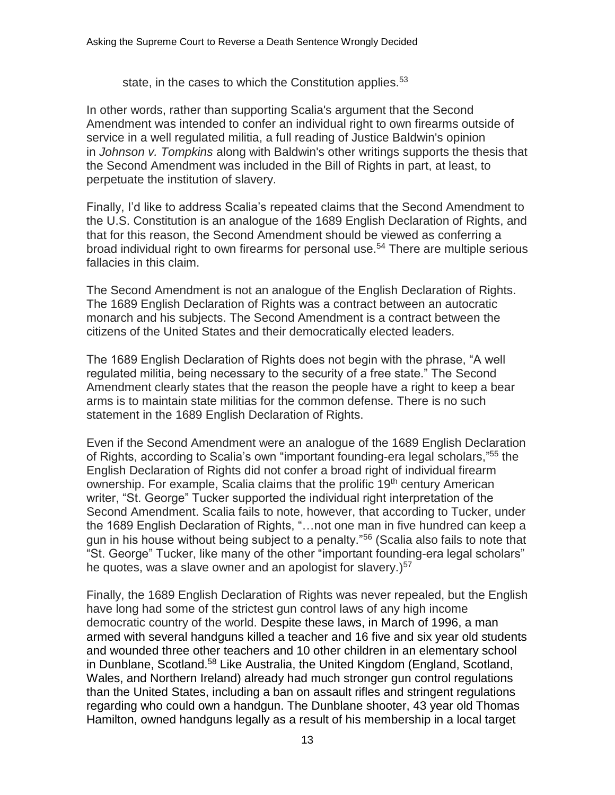state, in the cases to which the Constitution applies.<sup>53</sup>

In other words, rather than supporting Scalia's argument that the Second Amendment was intended to confer an individual right to own firearms outside of service in a well regulated militia, a full reading of Justice Baldwin's opinion in *Johnson v. Tompkins* along with Baldwin's other writings supports the thesis that the Second Amendment was included in the Bill of Rights in part, at least, to perpetuate the institution of slavery.

Finally, I'd like to address Scalia's repeated claims that the Second Amendment to the U.S. Constitution is an analogue of the 1689 English Declaration of Rights, and that for this reason, the Second Amendment should be viewed as conferring a broad individual right to own firearms for personal use.<sup>54</sup> There are multiple serious fallacies in this claim.

The Second Amendment is not an analogue of the English Declaration of Rights. The 1689 English Declaration of Rights was a contract between an autocratic monarch and his subjects. The Second Amendment is a contract between the citizens of the United States and their democratically elected leaders.

The 1689 English Declaration of Rights does not begin with the phrase, "A well regulated militia, being necessary to the security of a free state." The Second Amendment clearly states that the reason the people have a right to keep a bear arms is to maintain state militias for the common defense. There is no such statement in the 1689 English Declaration of Rights.

Even if the Second Amendment were an analogue of the 1689 English Declaration of Rights, according to Scalia's own "important founding-era legal scholars,"<sup>55</sup> the English Declaration of Rights did not confer a broad right of individual firearm ownership. For example, Scalia claims that the prolific 19<sup>th</sup> century American writer, "St. George" Tucker supported the individual right interpretation of the Second Amendment. Scalia fails to note, however, that according to Tucker, under the 1689 English Declaration of Rights, "…not one man in five hundred can keep a gun in his house without being subject to a penalty."<sup>56</sup> (Scalia also fails to note that "St. George" Tucker, like many of the other "important founding-era legal scholars" he quotes, was a slave owner and an apologist for slavery.)<sup>57</sup>

Finally, the 1689 English Declaration of Rights was never repealed, but the English have long had some of the strictest gun control laws of any high income democratic country of the world. Despite these laws, in March of 1996, a man armed with several handguns killed a teacher and 16 five and six year old students and wounded three other teachers and 10 other children in an elementary school in Dunblane, Scotland.<sup>58</sup> Like Australia, the United Kingdom (England, Scotland, Wales, and Northern Ireland) already had much stronger gun control regulations than the United States, including a ban on assault rifles and stringent regulations regarding who could own a handgun. The Dunblane shooter, 43 year old Thomas Hamilton, owned handguns legally as a result of his membership in a local target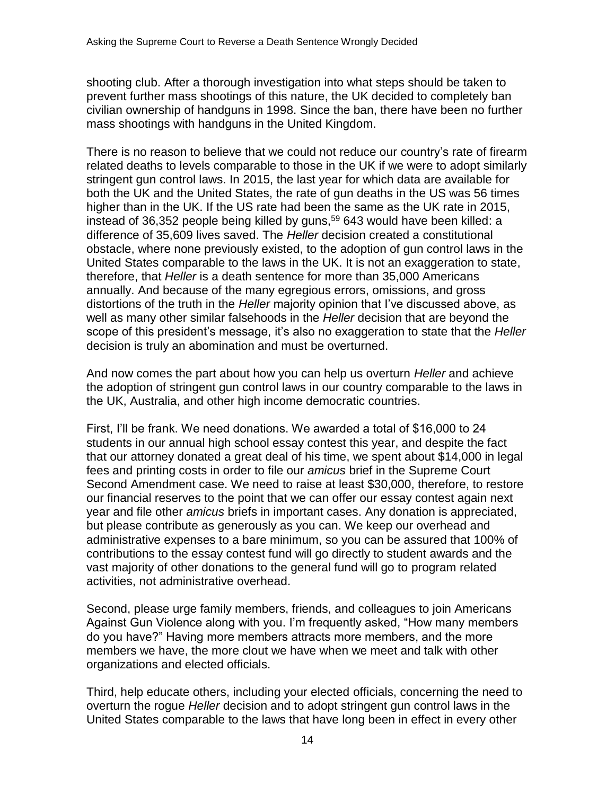shooting club. After a thorough investigation into what steps should be taken to prevent further mass shootings of this nature, the UK decided to completely ban civilian ownership of handguns in 1998. Since the ban, there have been no further mass shootings with handguns in the United Kingdom.

There is no reason to believe that we could not reduce our country's rate of firearm related deaths to levels comparable to those in the UK if we were to adopt similarly stringent gun control laws. In 2015, the last year for which data are available for both the UK and the United States, the rate of gun deaths in the US was 56 times higher than in the UK. If the US rate had been the same as the UK rate in 2015, instead of 36,352 people being killed by guns,<sup>59</sup> 643 would have been killed: a difference of 35,609 lives saved. The *Heller* decision created a constitutional obstacle, where none previously existed, to the adoption of gun control laws in the United States comparable to the laws in the UK. It is not an exaggeration to state, therefore, that *Heller* is a death sentence for more than 35,000 Americans annually. And because of the many egregious errors, omissions, and gross distortions of the truth in the *Heller* majority opinion that I've discussed above, as well as many other similar falsehoods in the *Heller* decision that are beyond the scope of this president's message, it's also no exaggeration to state that the *Heller* decision is truly an abomination and must be overturned.

And now comes the part about how you can help us overturn *Heller* and achieve the adoption of stringent gun control laws in our country comparable to the laws in the UK, Australia, and other high income democratic countries.

First, I'll be frank. We need donations. We awarded a total of \$16,000 to 24 students in our annual high school essay contest this year, and despite the fact that our attorney donated a great deal of his time, we spent about \$14,000 in legal fees and printing costs in order to file our *amicus* brief in the Supreme Court Second Amendment case. We need to raise at least \$30,000, therefore, to restore our financial reserves to the point that we can offer our essay contest again next year and file other *amicus* briefs in important cases. Any donation is appreciated, but please contribute as generously as you can. We keep our overhead and administrative expenses to a bare minimum, so you can be assured that 100% of contributions to the essay contest fund will go directly to student awards and the vast majority of other donations to the general fund will go to program related activities, not administrative overhead.

Second, please urge family members, friends, and colleagues to join Americans Against Gun Violence along with you. I'm frequently asked, "How many members do you have?" Having more members attracts more members, and the more members we have, the more clout we have when we meet and talk with other organizations and elected officials.

Third, help educate others, including your elected officials, concerning the need to overturn the rogue *Heller* decision and to adopt stringent gun control laws in the United States comparable to the laws that have long been in effect in every other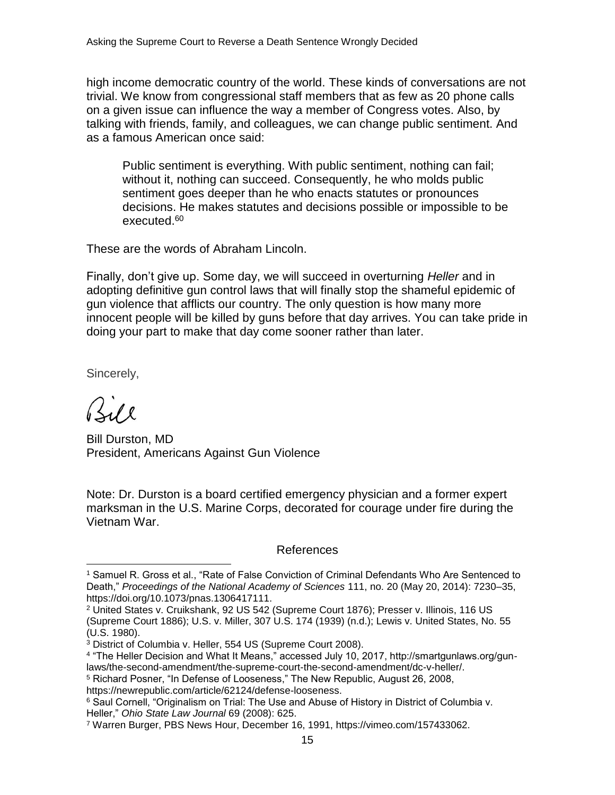high income democratic country of the world. These kinds of conversations are not trivial. We know from congressional staff members that as few as 20 phone calls on a given issue can influence the way a member of Congress votes. Also, by talking with friends, family, and colleagues, we can change public sentiment. And as a famous American once said:

Public sentiment is everything. With public sentiment, nothing can fail; without it, nothing can succeed. Consequently, he who molds public sentiment goes deeper than he who enacts statutes or pronounces decisions. He makes statutes and decisions possible or impossible to be executed.<sup>60</sup>

These are the words of Abraham Lincoln.

Finally, don't give up. Some day, we will succeed in overturning *Heller* and in adopting definitive gun control laws that will finally stop the shameful epidemic of gun violence that afflicts our country. The only question is how many more innocent people will be killed by guns before that day arrives. You can take pride in doing your part to make that day come sooner rather than later.

Sincerely,

Bill Durston, MD President, Americans Against Gun Violence

Note: Dr. Durston is a board certified emergency physician and a former expert marksman in the U.S. Marine Corps, decorated for courage under fire during the Vietnam War.

## References

<sup>1</sup> Samuel R. Gross et al., "Rate of False Conviction of Criminal Defendants Who Are Sentenced to Death," *Proceedings of the National Academy of Sciences* 111, no. 20 (May 20, 2014): 7230–35, https://doi.org/10.1073/pnas.1306417111.

<sup>2</sup> United States v. Cruikshank, 92 US 542 (Supreme Court 1876); Presser v. Illinois, 116 US (Supreme Court 1886); U.S. v. Miller, 307 U.S. 174 (1939) (n.d.); Lewis v. United States, No. 55 (U.S. 1980).

<sup>3</sup> District of Columbia v. Heller, 554 US (Supreme Court 2008).

<sup>4</sup> "The Heller Decision and What It Means," accessed July 10, 2017, http://smartgunlaws.org/gunlaws/the-second-amendment/the-supreme-court-the-second-amendment/dc-v-heller/.

<sup>5</sup> Richard Posner, "In Defense of Looseness," The New Republic, August 26, 2008,

https://newrepublic.com/article/62124/defense-looseness.

<sup>6</sup> Saul Cornell, "Originalism on Trial: The Use and Abuse of History in District of Columbia v. Heller," *Ohio State Law Journal* 69 (2008): 625.

<sup>7</sup> Warren Burger, PBS News Hour, December 16, 1991, https://vimeo.com/157433062.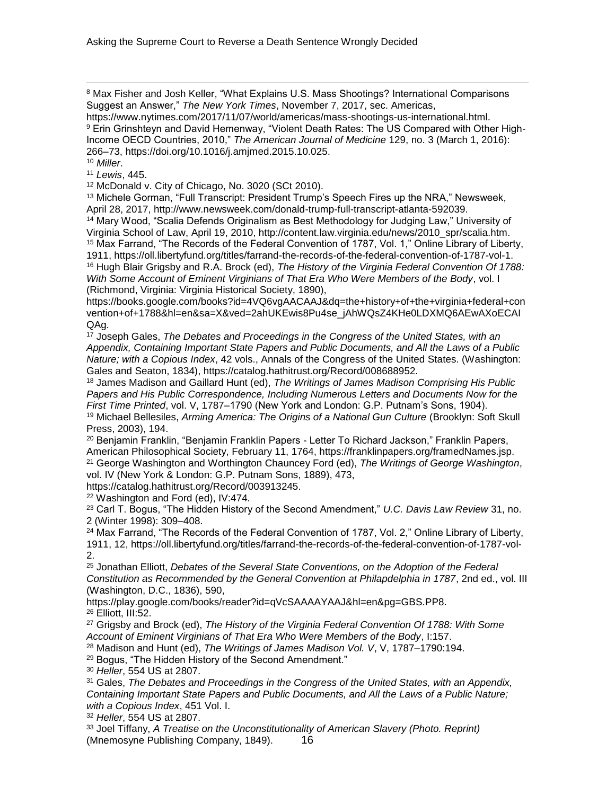8 Max Fisher and Josh Keller, "What Explains U.S. Mass Shootings? International Comparisons Suggest an Answer," *The New York Times*, November 7, 2017, sec. Americas,

https://www.nytimes.com/2017/11/07/world/americas/mass-shootings-us-international.html. 9 Erin Grinshteyn and David Hemenway, "Violent Death Rates: The US Compared with Other High-Income OECD Countries, 2010," *The American Journal of Medicine* 129, no. 3 (March 1, 2016): 266–73, https://doi.org/10.1016/j.amjmed.2015.10.025.

<sup>10</sup> *Miller*.

<sup>11</sup> *Lewis*, 445.

<sup>12</sup> McDonald v. City of Chicago, No. 3020 (SCt 2010).

<sup>13</sup> Michele Gorman, "Full Transcript: President Trump's Speech Fires up the NRA," Newsweek, April 28, 2017, http://www.newsweek.com/donald-trump-full-transcript-atlanta-592039.

<sup>14</sup> Mary Wood, "Scalia Defends Originalism as Best Methodology for Judging Law," University of Virginia School of Law, April 19, 2010, http://content.law.virginia.edu/news/2010\_spr/scalia.htm. <sup>15</sup> Max Farrand, "The Records of the Federal Convention of 1787, Vol. 1," Online Library of Liberty, 1911, https://oll.libertyfund.org/titles/farrand-the-records-of-the-federal-convention-of-1787-vol-1. <sup>16</sup> Hugh Blair Grigsby and R.A. Brock (ed), *The History of the Virginia Federal Convention Of 1788: With Some Account of Eminent Virginians of That Era Who Were Members of the Body*, vol. I (Richmond, Virginia: Virginia Historical Society, 1890),

https://books.google.com/books?id=4VQ6vgAACAAJ&dq=the+history+of+the+virginia+federal+con vention+of+1788&hl=en&sa=X&ved=2ahUKEwis8Pu4se\_jAhWQsZ4KHe0LDXMQ6AEwAXoECAI QAg.

<sup>17</sup> Joseph Gales, *The Debates and Proceedings in the Congress of the United States, with an Appendix, Containing Important State Papers and Public Documents, and All the Laws of a Public Nature; with a Copious Index*, 42 vols., Annals of the Congress of the United States. (Washington: Gales and Seaton, 1834), https://catalog.hathitrust.org/Record/008688952.

<sup>18</sup> James Madison and Gaillard Hunt (ed), *The Writings of James Madison Comprising His Public Papers and His Public Correspondence, Including Numerous Letters and Documents Now for the First Time Printed*, vol. V, 1787–1790 (New York and London: G.P. Putnam's Sons, 1904).

<sup>19</sup> Michael Bellesiles, *Arming America: The Origins of a National Gun Culture* (Brooklyn: Soft Skull Press, 2003), 194.

<sup>20</sup> Beniamin Franklin, "Beniamin Franklin Papers - Letter To Richard Jackson," Franklin Papers, American Philosophical Society, February 11, 1764, https://franklinpapers.org/framedNames.jsp.

<sup>21</sup> George Washington and Worthington Chauncey Ford (ed), *The Writings of George Washington*, vol. IV (New York & London: G.P. Putnam Sons, 1889), 473,

https://catalog.hathitrust.org/Record/003913245.

<sup>22</sup> Washington and Ford (ed), IV:474.

<sup>23</sup> Carl T. Bogus, "The Hidden History of the Second Amendment," *U.C. Davis Law Review* 31, no. 2 (Winter 1998): 309–408.

<sup>24</sup> Max Farrand, "The Records of the Federal Convention of 1787, Vol. 2," Online Library of Liberty, 1911, 12, https://oll.libertyfund.org/titles/farrand-the-records-of-the-federal-convention-of-1787-vol-2.

<sup>25</sup> Jonathan Elliott, *Debates of the Several State Conventions, on the Adoption of the Federal Constitution as Recommended by the General Convention at Philapdelphia in 1787*, 2nd ed., vol. III (Washington, D.C., 1836), 590,

https://play.google.com/books/reader?id=qVcSAAAAYAAJ&hl=en&pg=GBS.PP8. <sup>26</sup> Elliott, III:52.

<sup>27</sup> Grigsby and Brock (ed), *The History of the Virginia Federal Convention Of 1788: With Some Account of Eminent Virginians of That Era Who Were Members of the Body*, I:157.

<sup>28</sup> Madison and Hunt (ed), *The Writings of James Madison Vol. V*, V, 1787–1790:194.

<sup>29</sup> Bogus, "The Hidden History of the Second Amendment."

<sup>30</sup> *Heller*, 554 US at 2807.

<sup>31</sup> Gales, *The Debates and Proceedings in the Congress of the United States, with an Appendix, Containing Important State Papers and Public Documents, and All the Laws of a Public Nature; with a Copious Index*, 451 Vol. I.

<sup>32</sup> *Heller*, 554 US at 2807.

16 <sup>33</sup> Joel Tiffany, *A Treatise on the Unconstitutionality of American Slavery (Photo. Reprint)* (Mnemosyne Publishing Company, 1849).